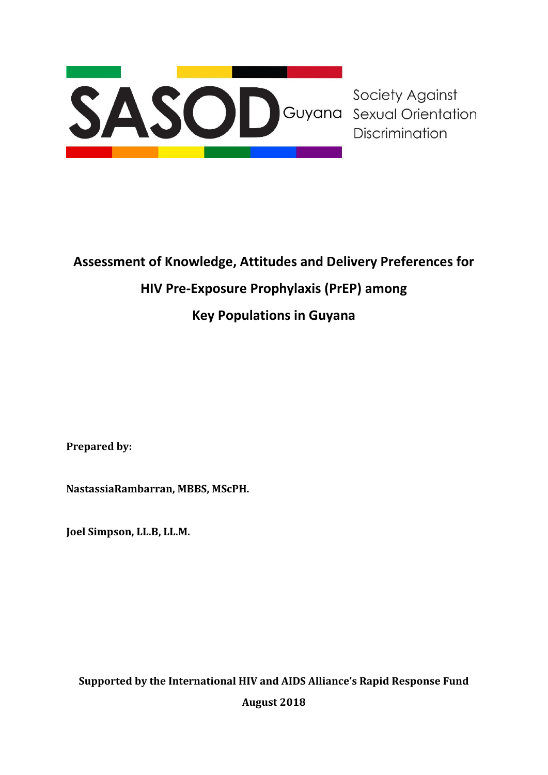

# **Assessment of Knowledge, Attitudes and Delivery Preferences for HIV Pre-Exposure Prophylaxis (PrEP) among Key Populations in Guyana**

**Prepared by:** 

**NastassiaRambarran, MBBS, MScPH.**

**Joel Simpson, LL.B, LL.M.** 

**Supported by the International HIV and AIDS Alliance's Rapid Response Fund** 

**August 2018**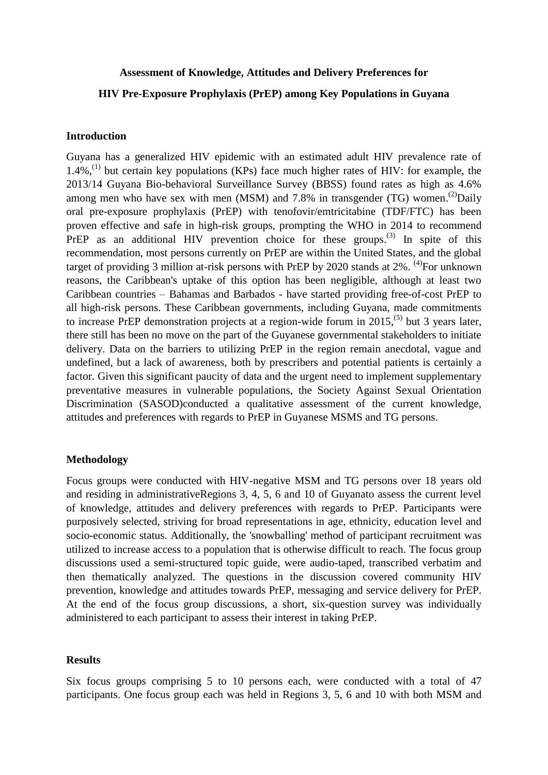#### **Assessment of Knowledge, Attitudes and Delivery Preferences for**

#### **HIV Pre-Exposure Prophylaxis (PrEP) among Key Populations in Guyana**

#### **Introduction**

Guyana has a generalized HIV epidemic with an estimated adult HIV prevalence rate of  $1.4\%$ <sup>(1)</sup>, but certain key populations (KPs) face much higher rates of HIV: for example, the 2013/14 Guyana Bio-behavioral Surveillance Survey (BBSS) found rates as high as 4.6% among men who have sex with men (MSM) and 7.8% in transgender (TG) women.<sup>(2)</sup>Daily oral pre-exposure prophylaxis (PrEP) with tenofovir/emtricitabine (TDF/FTC) has been proven effective and safe in high-risk groups, prompting the WHO in 2014 to recommend PrEP as an additional HIV prevention choice for these groups.<sup>(3)</sup> In spite of this recommendation, most persons currently on PrEP are within the United States, and the global target of providing 3 million at-risk persons with PrEP by 2020 stands at 2%. <sup>(4)</sup>For unknown reasons, the Caribbean's uptake of this option has been negligible, although at least two Caribbean countries – Bahamas and Barbados - have started providing free-of-cost PrEP to all high-risk persons. These Caribbean governments, including Guyana, made commitments to increase PrEP demonstration projects at a region-wide forum in  $2015$ ,<sup>(5)</sup> but 3 years later, there still has been no move on the part of the Guyanese governmental stakeholders to initiate delivery. Data on the barriers to utilizing PrEP in the region remain anecdotal, vague and undefined, but a lack of awareness, both by prescribers and potential patients is certainly a factor. Given this significant paucity of data and the urgent need to implement supplementary preventative measures in vulnerable populations, the Society Against Sexual Orientation Discrimination (SASOD)conducted a qualitative assessment of the current knowledge, attitudes and preferences with regards to PrEP in Guyanese MSMS and TG persons.

#### **Methodology**

Focus groups were conducted with HIV-negative MSM and TG persons over 18 years old and residing in administrativeRegions 3, 4, 5, 6 and 10 of Guyanato assess the current level of knowledge, attitudes and delivery preferences with regards to PrEP. Participants were purposively selected, striving for broad representations in age, ethnicity, education level and socio-economic status. Additionally, the 'snowballing' method of participant recruitment was utilized to increase access to a population that is otherwise difficult to reach. The focus group discussions used a semi-structured topic guide, were audio-taped, transcribed verbatim and then thematically analyzed. The questions in the discussion covered community HIV prevention, knowledge and attitudes towards PrEP, messaging and service delivery for PrEP. At the end of the focus group discussions, a short, six-question survey was individually administered to each participant to assess their interest in taking PrEP.

#### **Results**

Six focus groups comprising 5 to 10 persons each, were conducted with a total of 47 participants. One focus group each was held in Regions 3, 5, 6 and 10 with both MSM and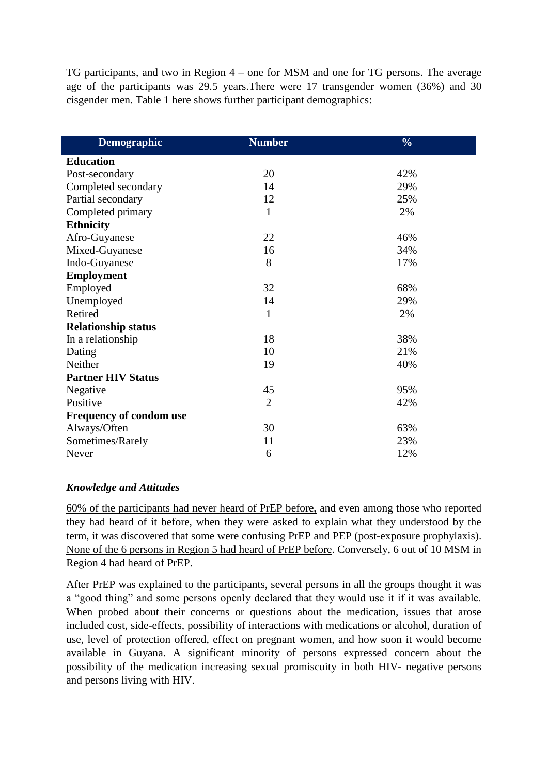TG participants, and two in Region 4 – one for MSM and one for TG persons. The average age of the participants was 29.5 years.There were 17 transgender women (36%) and 30 cisgender men. Table 1 here shows further participant demographics:

| <b>Demographic</b>         | <b>Number</b>  | $\frac{0}{0}$ |
|----------------------------|----------------|---------------|
| <b>Education</b>           |                |               |
| Post-secondary             | 20             | 42%           |
| Completed secondary        | 14             | 29%           |
| Partial secondary          | 12             | 25%           |
| Completed primary          | $\mathbf{1}$   | 2%            |
| <b>Ethnicity</b>           |                |               |
| Afro-Guyanese              | 22             | 46%           |
| Mixed-Guyanese             | 16             | 34%           |
| Indo-Guyanese              | 8              | 17%           |
| <b>Employment</b>          |                |               |
| Employed                   | 32             | 68%           |
| Unemployed                 | 14             | 29%           |
| Retired                    | $\mathbf{1}$   | 2%            |
| <b>Relationship status</b> |                |               |
| In a relationship          | 18             | 38%           |
| Dating                     | 10             | 21%           |
| Neither                    | 19             | 40%           |
| <b>Partner HIV Status</b>  |                |               |
| Negative                   | 45             | 95%           |
| Positive                   | $\overline{2}$ | 42%           |
| Frequency of condom use    |                |               |
| Always/Often               | 30             | 63%           |
| Sometimes/Rarely           | 11             | 23%           |
| Never                      | 6              | 12%           |

## *Knowledge and Attitudes*

60% of the participants had never heard of PrEP before, and even among those who reported they had heard of it before, when they were asked to explain what they understood by the term, it was discovered that some were confusing PrEP and PEP (post-exposure prophylaxis). None of the 6 persons in Region 5 had heard of PrEP before. Conversely, 6 out of 10 MSM in Region 4 had heard of PrEP.

After PrEP was explained to the participants, several persons in all the groups thought it was a "good thing" and some persons openly declared that they would use it if it was available. When probed about their concerns or questions about the medication, issues that arose included cost, side-effects, possibility of interactions with medications or alcohol, duration of use, level of protection offered, effect on pregnant women, and how soon it would become available in Guyana. A significant minority of persons expressed concern about the possibility of the medication increasing sexual promiscuity in both HIV- negative persons and persons living with HIV.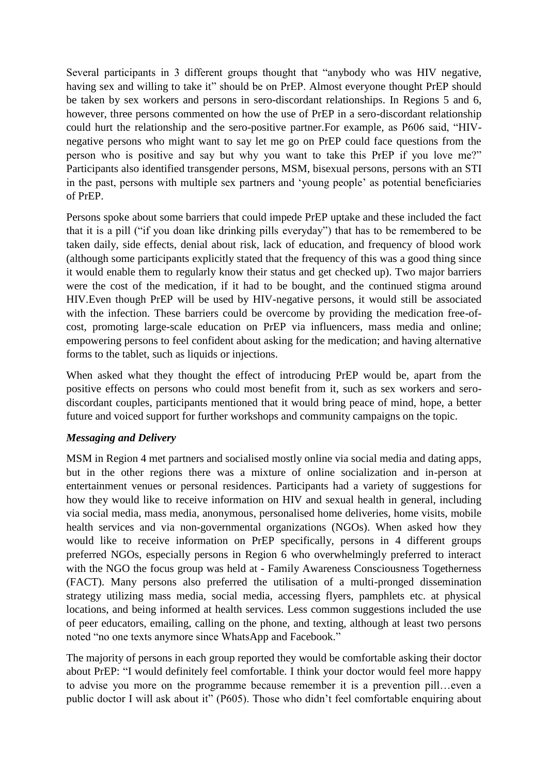Several participants in 3 different groups thought that "anybody who was HIV negative, having sex and willing to take it" should be on PrEP. Almost everyone thought PrEP should be taken by sex workers and persons in sero-discordant relationships. In Regions 5 and 6, however, three persons commented on how the use of PrEP in a sero-discordant relationship could hurt the relationship and the sero-positive partner.For example, as P606 said, "HIVnegative persons who might want to say let me go on PrEP could face questions from the person who is positive and say but why you want to take this PrEP if you love me?" Participants also identified transgender persons, MSM, bisexual persons, persons with an STI in the past, persons with multiple sex partners and "young people" as potential beneficiaries of PrEP.

Persons spoke about some barriers that could impede PrEP uptake and these included the fact that it is a pill ("if you doan like drinking pills everyday") that has to be remembered to be taken daily, side effects, denial about risk, lack of education, and frequency of blood work (although some participants explicitly stated that the frequency of this was a good thing since it would enable them to regularly know their status and get checked up). Two major barriers were the cost of the medication, if it had to be bought, and the continued stigma around HIV.Even though PrEP will be used by HIV-negative persons, it would still be associated with the infection. These barriers could be overcome by providing the medication free-ofcost, promoting large-scale education on PrEP via influencers, mass media and online; empowering persons to feel confident about asking for the medication; and having alternative forms to the tablet, such as liquids or injections.

When asked what they thought the effect of introducing PrEP would be, apart from the positive effects on persons who could most benefit from it, such as sex workers and serodiscordant couples, participants mentioned that it would bring peace of mind, hope, a better future and voiced support for further workshops and community campaigns on the topic.

## *Messaging and Delivery*

MSM in Region 4 met partners and socialised mostly online via social media and dating apps, but in the other regions there was a mixture of online socialization and in-person at entertainment venues or personal residences. Participants had a variety of suggestions for how they would like to receive information on HIV and sexual health in general, including via social media, mass media, anonymous, personalised home deliveries, home visits, mobile health services and via non-governmental organizations (NGOs). When asked how they would like to receive information on PrEP specifically, persons in 4 different groups preferred NGOs, especially persons in Region 6 who overwhelmingly preferred to interact with the NGO the focus group was held at - Family Awareness Consciousness Togetherness (FACT). Many persons also preferred the utilisation of a multi-pronged dissemination strategy utilizing mass media, social media, accessing flyers, pamphlets etc. at physical locations, and being informed at health services. Less common suggestions included the use of peer educators, emailing, calling on the phone, and texting, although at least two persons noted "no one texts anymore since WhatsApp and Facebook."

The majority of persons in each group reported they would be comfortable asking their doctor about PrEP: "I would definitely feel comfortable. I think your doctor would feel more happy to advise you more on the programme because remember it is a prevention pill…even a public doctor I will ask about it" (P605). Those who didn"t feel comfortable enquiring about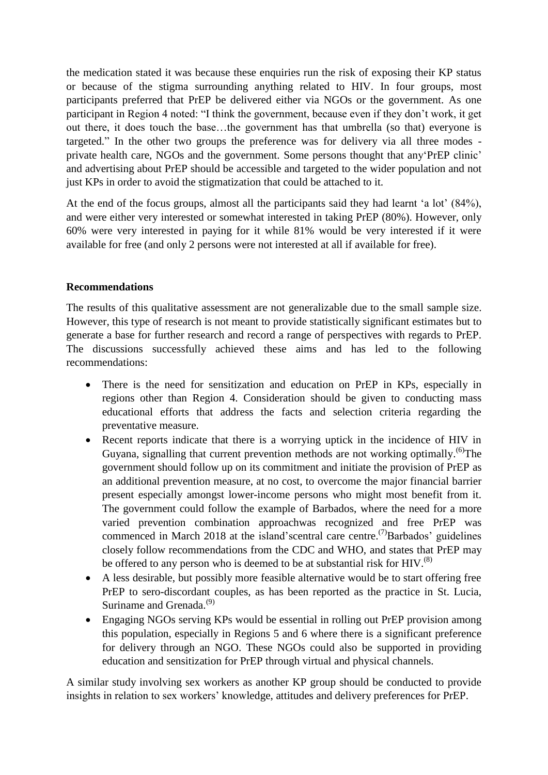the medication stated it was because these enquiries run the risk of exposing their KP status or because of the stigma surrounding anything related to HIV. In four groups, most participants preferred that PrEP be delivered either via NGOs or the government. As one participant in Region 4 noted: "I think the government, because even if they don"t work, it get out there, it does touch the base…the government has that umbrella (so that) everyone is targeted." In the other two groups the preference was for delivery via all three modes private health care, NGOs and the government. Some persons thought that any"PrEP clinic" and advertising about PrEP should be accessible and targeted to the wider population and not just KPs in order to avoid the stigmatization that could be attached to it.

At the end of the focus groups, almost all the participants said they had learnt 'a lot' (84%), and were either very interested or somewhat interested in taking PrEP (80%). However, only 60% were very interested in paying for it while 81% would be very interested if it were available for free (and only 2 persons were not interested at all if available for free).

### **Recommendations**

The results of this qualitative assessment are not generalizable due to the small sample size. However, this type of research is not meant to provide statistically significant estimates but to generate a base for further research and record a range of perspectives with regards to PrEP. The discussions successfully achieved these aims and has led to the following recommendations:

- There is the need for sensitization and education on PrEP in KPs, especially in regions other than Region 4. Consideration should be given to conducting mass educational efforts that address the facts and selection criteria regarding the preventative measure.
- Recent reports indicate that there is a worrying uptick in the incidence of HIV in Guyana, signalling that current prevention methods are not working optimally.<sup>(6)</sup>The government should follow up on its commitment and initiate the provision of PrEP as an additional prevention measure, at no cost, to overcome the major financial barrier present especially amongst lower-income persons who might most benefit from it. The government could follow the example of Barbados, where the need for a more varied prevention combination approachwas recognized and free PrEP was commenced in March 2018 at the island'scentral care centre.<sup>(7)</sup>Barbados' guidelines closely follow recommendations from the CDC and WHO, and states that PrEP may be offered to any person who is deemed to be at substantial risk for HIV. $^{(8)}$
- A less desirable, but possibly more feasible alternative would be to start offering free PrEP to sero-discordant couples, as has been reported as the practice in St. Lucia, Suriname and Grenada.<sup>(9)</sup>
- Engaging NGOs serving KPs would be essential in rolling out PrEP provision among this population, especially in Regions 5 and 6 where there is a significant preference for delivery through an NGO. These NGOs could also be supported in providing education and sensitization for PrEP through virtual and physical channels.

A similar study involving sex workers as another KP group should be conducted to provide insights in relation to sex workers" knowledge, attitudes and delivery preferences for PrEP.